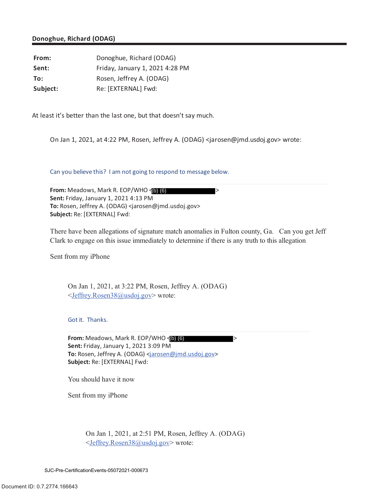## **Donoghue, Richard (ODAG)**

From: Donoghue, Richard (ODAG) **Sent:** Friday, January 1, 2021 4:28 PM **To:** Rosen, Jeffrey A. (ODAG) Subject: Re: [EXTERNAL] Fwd:

At least it's better than the last one, but that doesn't say much.

On Jan 1, 2021, at 4:22 PM, Rosen, Jeffrey A. (ODAG) <jarosen@jmd.usdoj.gov> wrote:

Can you believe this? I am not going to respond to message below.

**From:** Meadows, Mark R. EOP/WHO < > **Sent:** Friday, January 1, 2021 4:13 PM **To:** Rosen, Jeffrey A. (ODAG) <jarosen@jmd.usdoj.gov> **Subject:** Re: [EXTERNAL] Fwd: From: Meadows, Mark R. COP/WHO (**1000**<br>
Sent: Friday, January 1, 2021 4:13 PM<br>
To: Rosen, Jeffrey A. (ODAG) <jarosen@jmd.usdoj<br>
Subject: Re: [EXTERNAL] Fwd:<br>
There have been allegations of signature match<br>
Clark to engage

There have been allegations of signature match anomalies in Fulton county, Ga. Can you get Jeff Clark to engage on this issue immediately to determine if there is any truth to this allegation

Sent from my iPhone

On Jan 1, 2021, at 3:22 PM, Rosen, Jeffrey A. (ODAG) <Jeffrey.Rosen38@usdoj.gov> wrote:

Got it. Thanks.

**From:** Meadows, Mark R. EOP/WHO < (b) (6) **Sent:** Friday, January 1, 2021 3:09 PM **To:** Rosen, Jeffrey A. (ODAG) <jarosen@jmd.usdoj.gov> **Subject:** Re: [EXTERNAL] Fwd:

You should have it now

Sent from my iPhone

On Jan 1, 2021, at 2:51 PM, Rosen, Jeffrey A. (ODAG) <Jeffrey.Rosen38@usdoj.gov> wrote: